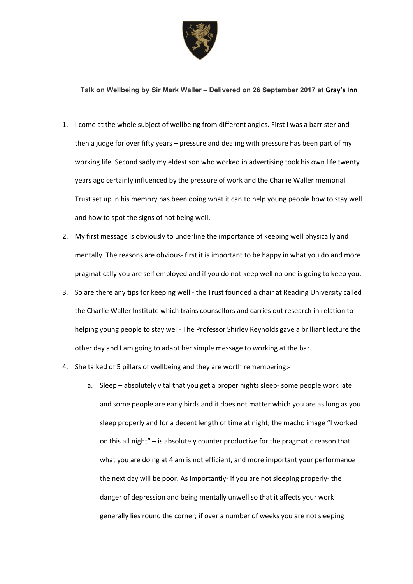

## **Talk on Wellbeing by Sir Mark Waller – Delivered on 26 September 2017 at Gray's Inn**

- 1. I come at the whole subject of wellbeing from different angles. First I was a barrister and then a judge for over fifty years – pressure and dealing with pressure has been part of my working life. Second sadly my eldest son who worked in advertising took his own life twenty years ago certainly influenced by the pressure of work and the Charlie Waller memorial Trust set up in his memory has been doing what it can to help young people how to stay well and how to spot the signs of not being well.
- 2. My first message is obviously to underline the importance of keeping well physically and mentally. The reasons are obvious- first it is important to be happy in what you do and more pragmatically you are self employed and if you do not keep well no one is going to keep you.
- 3. So are there any tips for keeping well the Trust founded a chair at Reading University called the Charlie Waller Institute which trains counsellors and carries out research in relation to helping young people to stay well- The Professor Shirley Reynolds gave a brilliant lecture the other day and I am going to adapt her simple message to working at the bar.
- 4. She talked of 5 pillars of wellbeing and they are worth remembering:
	- a. Sleep absolutely vital that you get a proper nights sleep- some people work late and some people are early birds and it does not matter which you are as long as you sleep properly and for a decent length of time at night; the macho image "I worked on this all night" – is absolutely counter productive for the pragmatic reason that what you are doing at 4 am is not efficient, and more important your performance the next day will be poor. As importantly- if you are not sleeping properly- the danger of depression and being mentally unwell so that it affects your work generally lies round the corner; if over a number of weeks you are not sleeping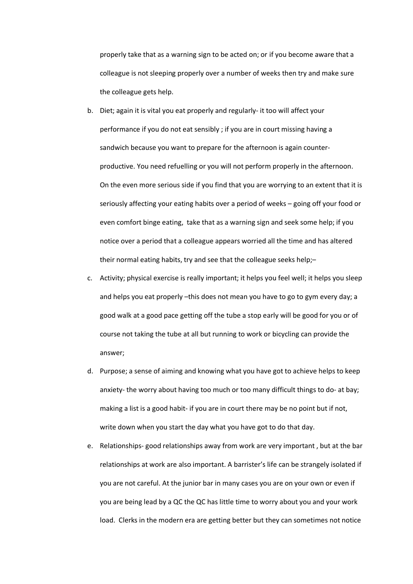properly take that as a warning sign to be acted on; or if you become aware that a colleague is not sleeping properly over a number of weeks then try and make sure the colleague gets help.

- b. Diet; again it is vital you eat properly and regularly- it too will affect your performance if you do not eat sensibly ; if you are in court missing having a sandwich because you want to prepare for the afternoon is again counterproductive. You need refuelling or you will not perform properly in the afternoon. On the even more serious side if you find that you are worrying to an extent that it is seriously affecting your eating habits over a period of weeks – going off your food or even comfort binge eating, take that as a warning sign and seek some help; if you notice over a period that a colleague appears worried all the time and has altered their normal eating habits, try and see that the colleague seeks help;–
- c. Activity; physical exercise is really important; it helps you feel well; it helps you sleep and helps you eat properly -this does not mean you have to go to gym every day; a good walk at a good pace getting off the tube a stop early will be good for you or of course not taking the tube at all but running to work or bicycling can provide the answer;
- d. Purpose; a sense of aiming and knowing what you have got to achieve helps to keep anxiety- the worry about having too much or too many difficult things to do- at bay; making a list is a good habit- if you are in court there may be no point but if not, write down when you start the day what you have got to do that day.
- e. Relationships- good relationships away from work are very important , but at the bar relationships at work are also important. A barrister's life can be strangely isolated if you are not careful. At the junior bar in many cases you are on your own or even if you are being lead by a QC the QC has little time to worry about you and your work load. Clerks in the modern era are getting better but they can sometimes not notice